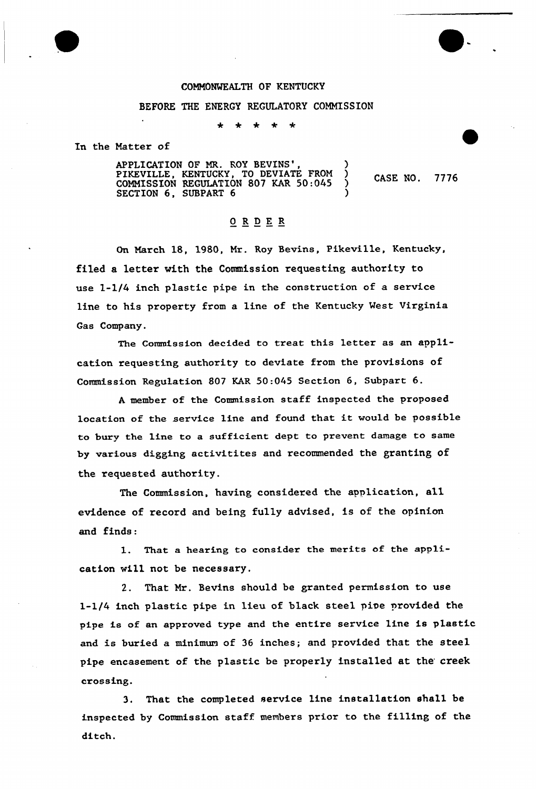## COMNONMEALTH OF KENTUCKY

## BEFORE THE ENERGY REGULATORY COMMISSION

∗  $\rightarrow$ -k

In the Matter of

APPLICATION OF MR. ROY BEVINS', (2004) PIKEVILLE, KENTUCKY, TO DEVIATE FROM ) CASE NO. COMMISSION REGULATION 807 KAR 50:045 SECTION 6, SUBPART 6

## ORDER

7776

On March 18, 1980, Mr. Roy Bevins, Pikeville, Kentucky, filed a letter with the Commission requesting authority to use 1-1/4 inch plastic pipe in the construction of a service line to his property from a line of the Kentucky Vest Virginia Gas Company.

The Commission decided to treat this letter as an application requesting authority to deviate from the provisions of Commission Regulation 807 KAR 50:045 Section 6, Subpart 6.

<sup>A</sup> member of the Commission staff inspected the proposed location of the service line and found that it would be possible to bury the line to a sufficient dept to prevent damage to same by various digging activitites and recommended the granting of the requested authority.

The Commission, having considered the application, a11 evidence of record and being fully advised, is of the opinion and finds:

1. That a hearing to consider the merits of the app1ication vill not be necessary.

2. That Mr. Bevins should be granted permission to use 1-1/4 inch plastic pipe in lieu of black steel pipe provided the pipe is of an approved type and the entire service line is plastic and is buried a minimum of 36 inches; and provided that the steel pipe encasement of the plastic be properly installed at the creek crossing.

3. That the completed service line installation shall be inspected by Commission staff members prior to the filling of the ditch.